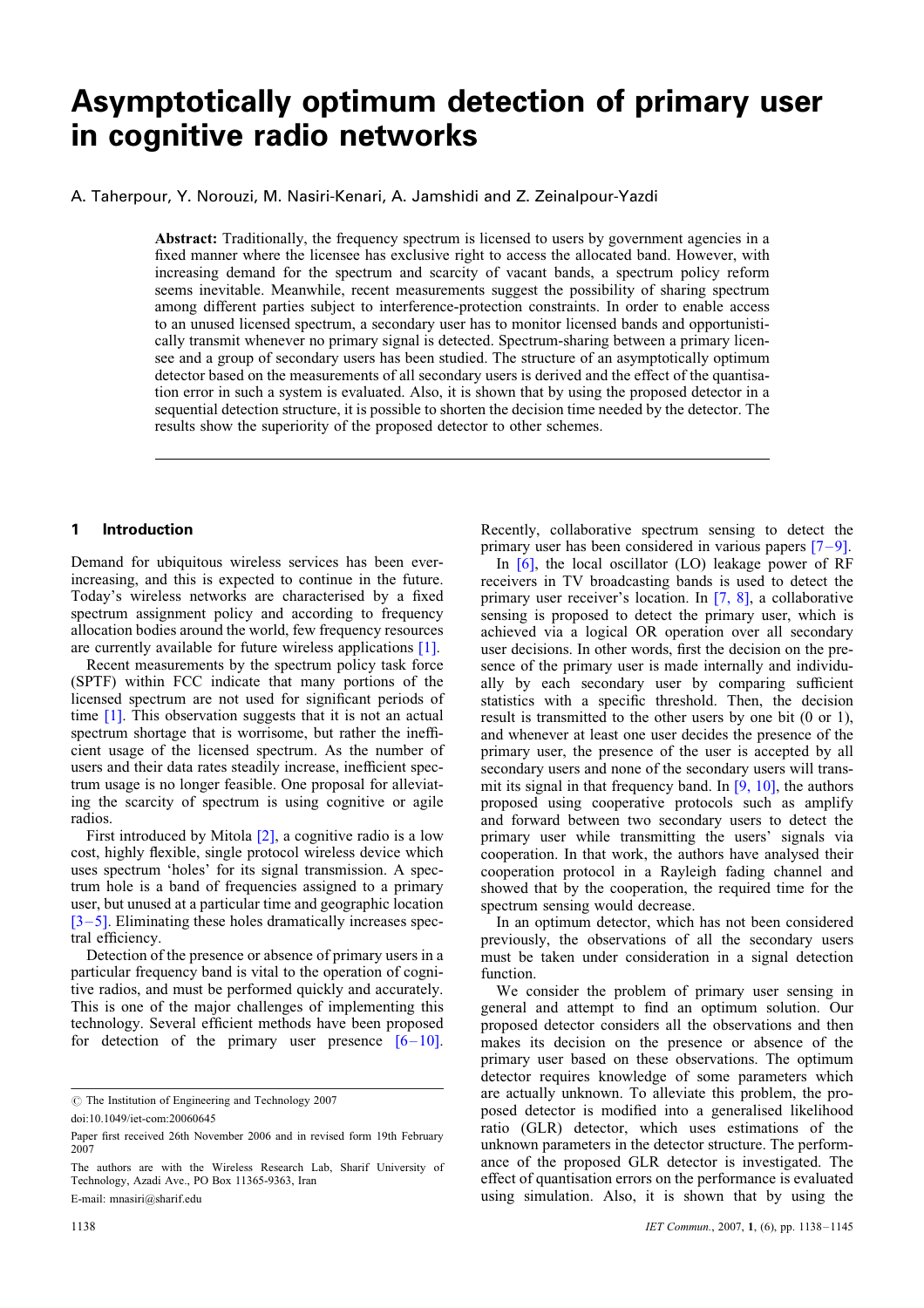# Asymptotically optimum detection of primary user in cognitive radio networks

A. Taherpour, Y. Norouzi, M. Nasiri-Kenari, A. Jamshidi and Z. Zeinalpour-Yazdi

Abstract: Traditionally, the frequency spectrum is licensed to users by government agencies in a fixed manner where the licensee has exclusive right to access the allocated band. However, with increasing demand for the spectrum and scarcity of vacant bands, a spectrum policy reform seems inevitable. Meanwhile, recent measurements suggest the possibility of sharing spectrum among different parties subject to interference-protection constraints. In order to enable access to an unused licensed spectrum, a secondary user has to monitor licensed bands and opportunistically transmit whenever no primary signal is detected. Spectrum-sharing between a primary licensee and a group of secondary users has been studied. The structure of an asymptotically optimum detector based on the measurements of all secondary users is derived and the effect of the quantisation error in such a system is evaluated. Also, it is shown that by using the proposed detector in a sequential detection structure, it is possible to shorten the decision time needed by the detector. The results show the superiority of the proposed detector to other schemes.

## 1 Introduction

Demand for ubiquitous wireless services has been everincreasing, and this is expected to continue in the future. Today's wireless networks are characterised by a fixed spectrum assignment policy and according to frequency allocation bodies around the world, few frequency resources are currently available for future wireless applications [1].

Recent measurements by the spectrum policy task force (SPTF) within FCC indicate that many portions of the licensed spectrum are not used for significant periods of time [1]. This observation suggests that it is not an actual spectrum shortage that is worrisome, but rather the inefficient usage of the licensed spectrum. As the number of users and their data rates steadily increase, inefficient spectrum usage is no longer feasible. One proposal for alleviating the scarcity of spectrum is using cognitive or agile radios.

First introduced by Mitola  $[2]$ , a cognitive radio is a low cost, highly flexible, single protocol wireless device which uses spectrum 'holes' for its signal transmission. A spectrum hole is a band of frequencies assigned to a primary user, but unused at a particular time and geographic location  $[3-5]$ . Eliminating these holes dramatically increases spectral efficiency.

Detection of the presence or absence of primary users in a particular frequency band is vital to the operation of cognitive radios, and must be performed quickly and accurately. This is one of the major challenges of implementing this technology. Several efficient methods have been proposed for detection of the primary user presence  $[6-10]$ .

Recently, collaborative spectrum sensing to detect the primary user has been considered in various papers  $[7-9]$ .

In  $[6]$ , the local oscillator (LO) leakage power of RF receivers in TV broadcasting bands is used to detect the primary user receiver's location. In [7, 8], a collaborative sensing is proposed to detect the primary user, which is achieved via a logical OR operation over all secondary user decisions. In other words, first the decision on the presence of the primary user is made internally and individually by each secondary user by comparing sufficient statistics with a specific threshold. Then, the decision result is transmitted to the other users by one bit (0 or 1), and whenever at least one user decides the presence of the primary user, the presence of the user is accepted by all secondary users and none of the secondary users will transmit its signal in that frequency band. In [9, 10], the authors proposed using cooperative protocols such as amplify and forward between two secondary users to detect the primary user while transmitting the users' signals via cooperation. In that work, the authors have analysed their cooperation protocol in a Rayleigh fading channel and showed that by the cooperation, the required time for the spectrum sensing would decrease.

In an optimum detector, which has not been considered previously, the observations of all the secondary users must be taken under consideration in a signal detection function.

We consider the problem of primary user sensing in general and attempt to find an optimum solution. Our proposed detector considers all the observations and then makes its decision on the presence or absence of the primary user based on these observations. The optimum detector requires knowledge of some parameters which are actually unknown. To alleviate this problem, the proposed detector is modified into a generalised likelihood ratio (GLR) detector, which uses estimations of the unknown parameters in the detector structure. The performance of the proposed GLR detector is investigated. The effect of quantisation errors on the performance is evaluated using simulation. Also, it is shown that by using the

 $\circ$  The Institution of Engineering and Technology 2007

doi:10.1049/iet-com:20060645

Paper first received 26th November 2006 and in revised form 19th February 2007

The authors are with the Wireless Research Lab, Sharif University of Technology, Azadi Ave., PO Box 11365-9363, Iran E-mail: mnasiri@sharif.edu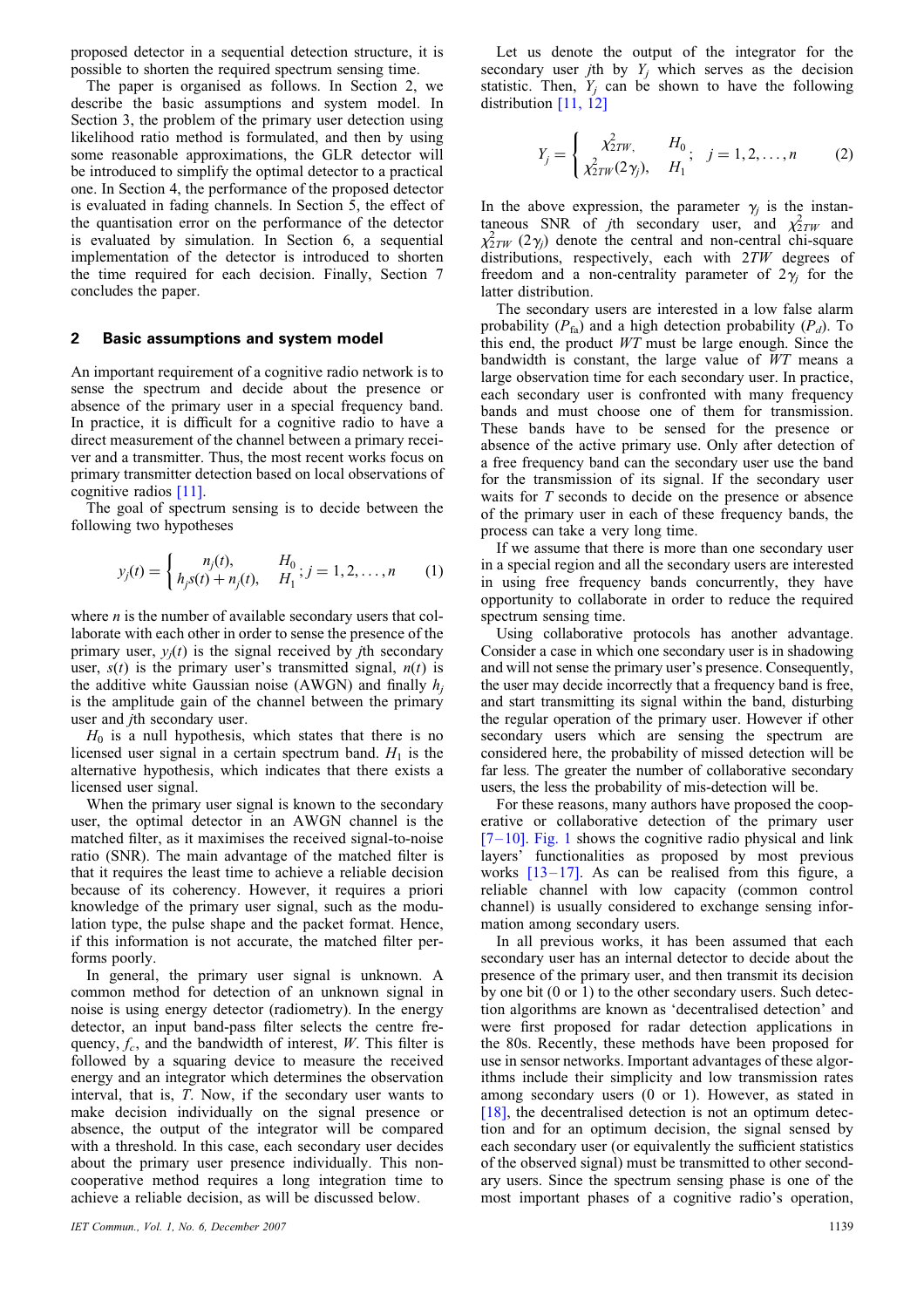proposed detector in a sequential detection structure, it is possible to shorten the required spectrum sensing time.

The paper is organised as follows. In Section 2, we describe the basic assumptions and system model. In Section 3, the problem of the primary user detection using likelihood ratio method is formulated, and then by using some reasonable approximations, the GLR detector will be introduced to simplify the optimal detector to a practical one. In Section 4, the performance of the proposed detector is evaluated in fading channels. In Section 5, the effect of the quantisation error on the performance of the detector is evaluated by simulation. In Section 6, a sequential implementation of the detector is introduced to shorten the time required for each decision. Finally, Section 7 concludes the paper.

#### 2 Basic assumptions and system model

An important requirement of a cognitive radio network is to sense the spectrum and decide about the presence or absence of the primary user in a special frequency band. In practice, it is difficult for a cognitive radio to have a direct measurement of the channel between a primary receiver and a transmitter. Thus, the most recent works focus on primary transmitter detection based on local observations of cognitive radios [11].

The goal of spectrum sensing is to decide between the following two hypotheses

$$
y_j(t) = \begin{cases} n_j(t), & H_0 \\ h_j s(t) + n_j(t), & H_1 \end{cases}; j = 1, 2, ..., n \qquad (1)
$$

where  $n$  is the number of available secondary users that collaborate with each other in order to sense the presence of the primary user,  $y_i(t)$  is the signal received by *j*th secondary user,  $s(t)$  is the primary user's transmitted signal,  $n(t)$  is the additive white Gaussian noise (AWGN) and finally  $h_i$ is the amplitude gain of the channel between the primary user and *j*th secondary user.

 $H_0$  is a null hypothesis, which states that there is no licensed user signal in a certain spectrum band.  $H_1$  is the alternative hypothesis, which indicates that there exists a licensed user signal.

When the primary user signal is known to the secondary user, the optimal detector in an AWGN channel is the matched filter, as it maximises the received signal-to-noise ratio (SNR). The main advantage of the matched filter is that it requires the least time to achieve a reliable decision because of its coherency. However, it requires a priori knowledge of the primary user signal, such as the modulation type, the pulse shape and the packet format. Hence, if this information is not accurate, the matched filter performs poorly.

In general, the primary user signal is unknown. A common method for detection of an unknown signal in noise is using energy detector (radiometry). In the energy detector, an input band-pass filter selects the centre frequency,  $f_c$ , and the bandwidth of interest, W. This filter is followed by a squaring device to measure the received energy and an integrator which determines the observation interval, that is, T. Now, if the secondary user wants to make decision individually on the signal presence or absence, the output of the integrator will be compared with a threshold. In this case, each secondary user decides about the primary user presence individually. This noncooperative method requires a long integration time to achieve a reliable decision, as will be discussed below.

Let us denote the output of the integrator for the secondary user *j*th by  $Y_i$  which serves as the decision statistic. Then,  $Y_i$  can be shown to have the following distribution [11, 12]

$$
Y_j = \begin{cases} \chi_{2TW}^2, & H_0 \\ \chi_{2TW}^2(2\gamma_j), & H_1 \end{cases}; j = 1, 2, ..., n \qquad (2)
$$

In the above expression, the parameter  $\gamma_i$  is the instantaneous SNR of *j*th secondary user, and  $\chi^2_{2TW}$  and  $\chi^2_{2TW}$  (2 $\gamma_j$ ) denote the central and non-central chi-square distributions, respectively, each with 2TW degrees of freedom and a non-centrality parameter of  $2\gamma_i$  for the latter distribution.

The secondary users are interested in a low false alarm probability  $(P_{fa})$  and a high detection probability  $(P_d)$ . To this end, the product WT must be large enough. Since the bandwidth is constant, the large value of WT means a large observation time for each secondary user. In practice, each secondary user is confronted with many frequency bands and must choose one of them for transmission. These bands have to be sensed for the presence or absence of the active primary use. Only after detection of a free frequency band can the secondary user use the band for the transmission of its signal. If the secondary user waits for T seconds to decide on the presence or absence of the primary user in each of these frequency bands, the process can take a very long time.

If we assume that there is more than one secondary user in a special region and all the secondary users are interested in using free frequency bands concurrently, they have opportunity to collaborate in order to reduce the required spectrum sensing time.

Using collaborative protocols has another advantage. Consider a case in which one secondary user is in shadowing and will not sense the primary user's presence. Consequently, the user may decide incorrectly that a frequency band is free, and start transmitting its signal within the band, disturbing the regular operation of the primary user. However if other secondary users which are sensing the spectrum are considered here, the probability of missed detection will be far less. The greater the number of collaborative secondary users, the less the probability of mis-detection will be.

For these reasons, many authors have proposed the cooperative or collaborative detection of the primary user  $[7-10]$ . Fig. 1 shows the cognitive radio physical and link layers' functionalities as proposed by most previous works  $[13-17]$ . As can be realised from this figure, a reliable channel with low capacity (common control channel) is usually considered to exchange sensing information among secondary users.

In all previous works, it has been assumed that each secondary user has an internal detector to decide about the presence of the primary user, and then transmit its decision by one bit (0 or 1) to the other secondary users. Such detection algorithms are known as 'decentralised detection' and were first proposed for radar detection applications in the 80s. Recently, these methods have been proposed for use in sensor networks. Important advantages of these algorithms include their simplicity and low transmission rates among secondary users (0 or 1). However, as stated in [18], the decentralised detection is not an optimum detection and for an optimum decision, the signal sensed by each secondary user (or equivalently the sufficient statistics of the observed signal) must be transmitted to other secondary users. Since the spectrum sensing phase is one of the most important phases of a cognitive radio's operation,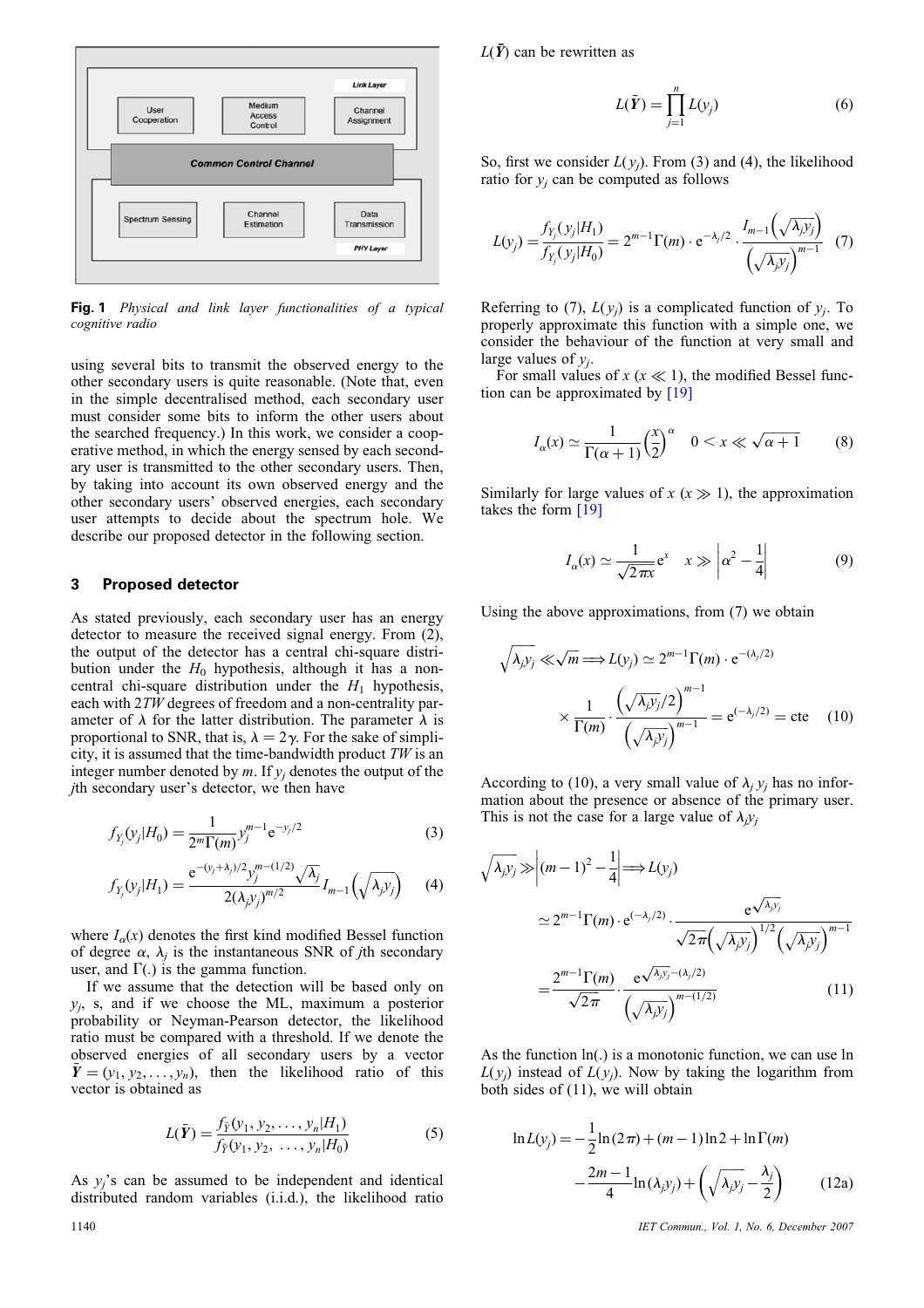

Fig. 1 Physical and link layer functionalities of a typical cognitive radio

using several bits to transmit the observed energy to the other secondary users is quite reasonable. (Note that, even in the simple decentralised method, each secondary user must consider some bits to inform the other users about the searched frequency.) In this work, we consider a cooperative method, in which the energy sensed by each secondary user is transmitted to the other secondary users. Then, by taking into account its own observed energy and the other secondary users' observed energies, each secondary user attempts to decide about the spectrum hole. We describe our proposed detector in the following section.

## 3 Proposed detector

As stated previously, each secondary user has an energy detector to measure the received signal energy. From (2), the output of the detector has a central chi-square distribution under the  $H_0$  hypothesis, although it has a noncentral chi-square distribution under the  $H_1$  hypothesis, each with 2TW degrees of freedom and a non-centrality parameter of  $\lambda$  for the latter distribution. The parameter  $\lambda$  is proportional to SNR, that is,  $\lambda = 2\gamma$ . For the sake of simplicity, it is assumed that the time-bandwidth product  $TW$  is an integer number denoted by  $m$ . If  $y_i$  denotes the output of the jth secondary user's detector, we then have

$$
f_{Y_j}(y_j|H_0) = \frac{1}{2^m \Gamma(m)} y_j^{m-1} e^{-y_j/2}
$$
 (3)

$$
f_{Y_j}(y_j|H_1) = \frac{e^{-(y_j + \lambda_j)/2} y_j^{m - (1/2)} \sqrt{\lambda_j}}{2(\lambda_j y_j)^{m/2}} I_{m-1}(\sqrt{\lambda_j y_j}) \tag{4}
$$

where  $I_{\alpha}(x)$  denotes the first kind modified Bessel function of degree  $\alpha$ ,  $\lambda_i$  is the instantaneous SNR of *j*th secondary user, and  $\Gamma(.)$  is the gamma function.

If we assume that the detection will be based only on  $y_i$ , s, and if we choose the ML, maximum a posterior probability or Neyman-Pearson detector, the likelihood ratio must be compared with a threshold. If we denote the observed energies of all secondary users by a vector  $Y = (y_1, y_2, \ldots, y_n)$ , then the likelihood ratio of this vector is obtained as

$$
L(\bar{Y}) = \frac{f_{\bar{Y}}(y_1, y_2, \dots, y_n | H_1)}{f_{\bar{Y}}(y_1, y_2, \dots, y_n | H_0)}
$$
(5)

As  $y_i$ 's can be assumed to be independent and identical distributed random variables (i.i.d.), the likelihood ratio  $L(\bar{Y})$  can be rewritten as

$$
L(\bar{Y}) = \prod_{j=1}^{n} L(y_j)
$$
 (6)

So, first we consider  $L(y_i)$ . From (3) and (4), the likelihood ratio for  $y_i$  can be computed as follows

$$
L(y_j) = \frac{f_{Y_j}(y_j|H_1)}{f_{Y_j}(y_j|H_0)} = 2^{m-1}\Gamma(m) \cdot e^{-\lambda_j/2} \cdot \frac{I_{m-1}\left(\sqrt{\lambda_j y_j}\right)}{\left(\sqrt{\lambda_j y_j}\right)^{m-1}}
$$
 (7)

Referring to (7),  $L(y_i)$  is a complicated function of  $y_i$ . To properly approximate this function with a simple one, we consider the behaviour of the function at very small and large values of  $y_i$ .

For small values of  $x \ll 1$ , the modified Bessel function can be approximated by [19]

$$
I_{\alpha}(x) \simeq \frac{1}{\Gamma(\alpha+1)} \left(\frac{x}{2}\right)^{\alpha} \quad 0 < x \ll \sqrt{\alpha+1} \tag{8}
$$

Similarly for large values of  $x (x \gg 1)$ , the approximation takes the form [19]

$$
I_{\alpha}(x) \simeq \frac{1}{\sqrt{2\pi x}} e^{x} \quad x \gg \left| \alpha^{2} - \frac{1}{4} \right| \tag{9}
$$

Using the above approximations, from (7) we obtain

$$
\sqrt{\lambda_j y_j} \ll \sqrt{m} \Longrightarrow L(y_j) \simeq 2^{m-1} \Gamma(m) \cdot e^{-(\lambda_j/2)} \times \frac{1}{\Gamma(m)} \cdot \frac{\left(\sqrt{\lambda_j y_j}/2\right)^{m-1}}{\left(\sqrt{\lambda_j y_j}\right)^{m-1}} = e^{(-\lambda_j/2)} = \text{cte} \quad (10)
$$

According to (10), a very small value of  $\lambda_j$  y<sub>i</sub> has no information about the presence or absence of the primary user. This is not the case for a large value of  $\lambda_i y_i$ 

$$
\sqrt{\lambda_j y_j} \gg |(m-1)^2 - \frac{1}{4}| \Longrightarrow L(y_j)
$$
  
\n
$$
\simeq 2^{m-1} \Gamma(m) \cdot e^{(-\lambda_j/2)} \cdot \frac{e^{\sqrt{\lambda_j y_j}}}{\sqrt{2\pi} (\sqrt{\lambda_j y_j})^{1/2} (\sqrt{\lambda_j y_j})^{m-1}}
$$
  
\n
$$
= \frac{2^{m-1} \Gamma(m)}{\sqrt{2\pi}} \cdot \frac{e^{\sqrt{\lambda_j y_j} - (\lambda_j/2)}}{(\sqrt{\lambda_j y_j})^{m-(1/2)}} \tag{11}
$$

As the function ln(.) is a monotonic function, we can use ln  $L(y_i)$  instead of  $L(y_i)$ . Now by taking the logarithm from both sides of (11), we will obtain

$$
\ln L(y_j) = -\frac{1}{2}\ln(2\pi) + (m-1)\ln 2 + \ln \Gamma(m) -\frac{2m-1}{4}\ln(\lambda_j y_j) + \left(\sqrt{\lambda_j y_j} - \frac{\lambda_j}{2}\right)
$$
 (12a)

1140 IET Commun., Vol. 1, No. 6, December 2007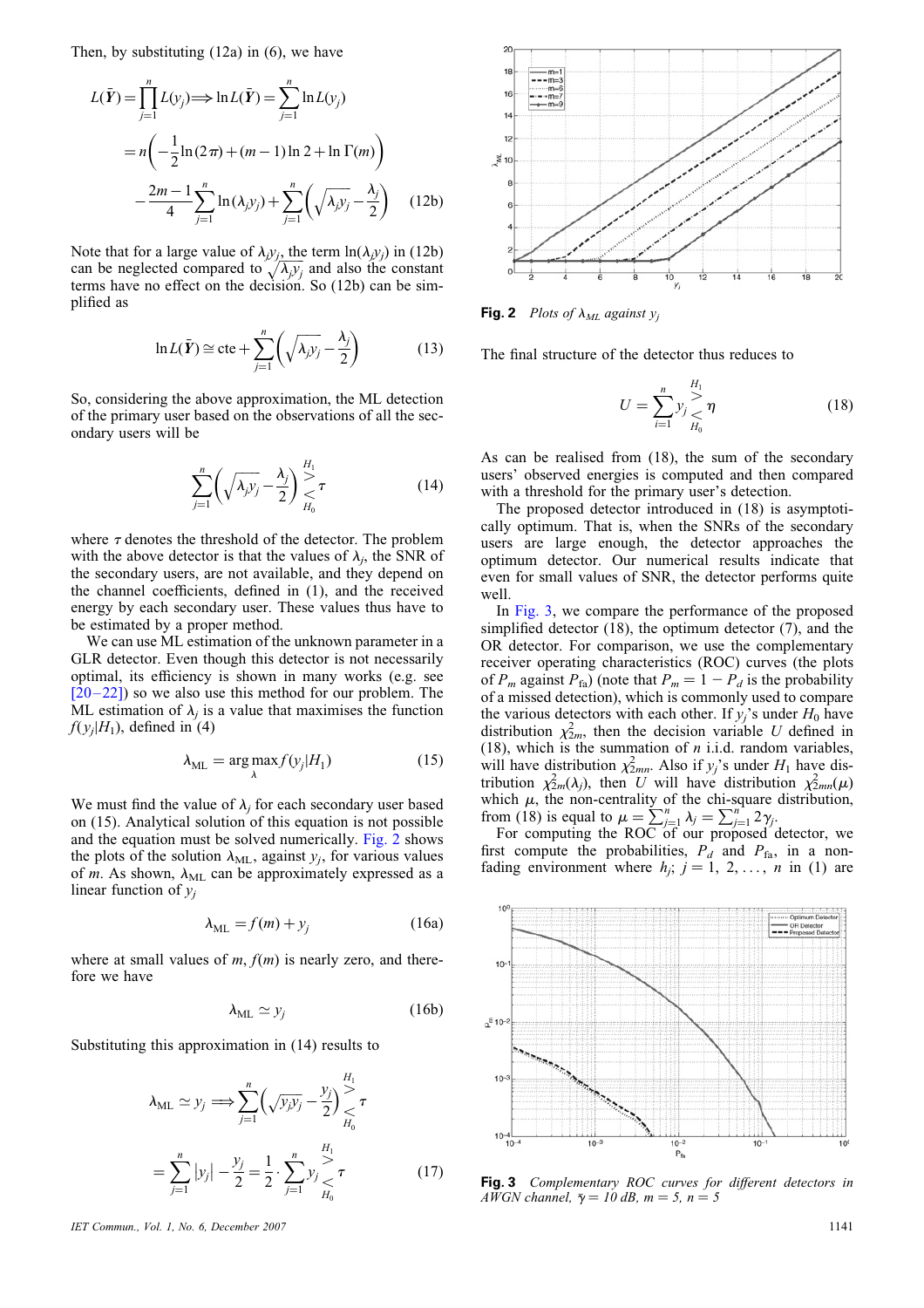Then, by substituting (12a) in (6), we have

$$
L(\bar{Y}) = \prod_{j=1}^{n} L(y_j) \Longrightarrow \ln L(\bar{Y}) = \sum_{j=1}^{n} \ln L(y_j)
$$
  
=  $n \left( -\frac{1}{2} \ln(2\pi) + (m-1) \ln 2 + \ln \Gamma(m) \right)$   

$$
- \frac{2m-1}{4} \sum_{j=1}^{n} \ln(\lambda_j y_j) + \sum_{j=1}^{n} \left( \sqrt{\lambda_j y_j} - \frac{\lambda_j}{2} \right) \quad (12b)
$$

Note that for a large value of  $\lambda_j y_j$ , the term  $\ln(\lambda_j y_j)$  in (12b) can be neglected compared to  $\sqrt{\lambda_j y_j}$  and also the constant terms have no effect on the decision. So (12b) can be simplified as

$$
\ln L(\bar{Y}) \cong \text{cte} + \sum_{j=1}^{n} \left( \sqrt{\lambda_j y_j} - \frac{\lambda_j}{2} \right) \tag{13}
$$

So, considering the above approximation, the ML detection of the primary user based on the observations of all the secondary users will be

$$
\sum_{j=1}^{n} \left( \sqrt{\lambda_j y_j} - \frac{\lambda_j}{2} \right) \sum_{H_0}^{H_1} \tau
$$
 (14)

where  $\tau$  denotes the threshold of the detector. The problem with the above detector is that the values of  $\lambda_i$ , the SNR of the secondary users, are not available, and they depend on the channel coefficients, defined in (1), and the received energy by each secondary user. These values thus have to be estimated by a proper method.

We can use ML estimation of the unknown parameter in a GLR detector. Even though this detector is not necessarily optimal, its efficiency is shown in many works (e.g. see  $[20-22]$ ) so we also use this method for our problem. The ML estimation of  $\lambda_i$  is a value that maximises the function  $f(y_i|H_1)$ , defined in (4)

$$
\lambda_{\text{ML}} = \underset{\lambda}{\arg \max} f(y_j | H_1) \tag{15}
$$

We must find the value of  $\lambda_i$  for each secondary user based on (15). Analytical solution of this equation is not possible and the equation must be solved numerically. Fig. 2 shows the plots of the solution  $\lambda_{ML}$ , against  $y_j$ , for various values of m. As shown,  $\lambda_{ML}$  can be approximately expressed as a linear function of  $y_i$ 

$$
\lambda_{ML} = f(m) + y_j \tag{16a}
$$

where at small values of  $m$ ,  $f(m)$  is nearly zero, and therefore we have

$$
\lambda_{\text{ML}} \simeq y_j \tag{16b}
$$

Substituting this approximation in (14) results to

$$
\lambda_{\text{ML}} \simeq y_j \Longrightarrow \sum_{j=1}^n \left( \sqrt{y_j y_j} - \frac{y_j}{2} \right) \sum_{H_0}^{H_1} \tau
$$

$$
= \sum_{j=1}^n |y_j| - \frac{y_j}{2} = \frac{1}{2} \cdot \sum_{j=1}^n \frac{y_j}{y_j} \sum_{H_0}^{H_1} \tau
$$
(17)

IET Commun., Vol. 1, No. 6, December 2007 1141



**Fig. 2** Plots of  $\lambda_{ML}$  against  $y_i$ 

The final structure of the detector thus reduces to

$$
U = \sum_{i=1}^{n} y_j \sum_{H_0}^{H_1} \eta
$$
 (18)

As can be realised from (18), the sum of the secondary users' observed energies is computed and then compared with a threshold for the primary user's detection.

The proposed detector introduced in (18) is asymptotically optimum. That is, when the SNRs of the secondary users are large enough, the detector approaches the optimum detector. Our numerical results indicate that even for small values of SNR, the detector performs quite well.

In Fig. 3, we compare the performance of the proposed simplified detector (18), the optimum detector (7), and the OR detector. For comparison, we use the complementary receiver operating characteristics (ROC) curves (the plots of  $P_m$  against  $P_{fa}$ ) (note that  $P_m = 1 - P_d$  is the probability of a missed detection), which is commonly used to compare the various detectors with each other. If  $y_j$ 's under  $H_0$  have distribution  $\chi^2_{2m}$ , then the decision variable U defined in (18), which is the summation of  $n$  i.i.d. random variables, will have distribution  $\chi^2_{2mn}$ . Also if  $y_j$ 's under  $H_1$  have distribution  $\chi^2_{2m}(\lambda_j)$ , then U will have distribution  $\chi^2_{2mn}(\mu)$ which  $\mu$ , the non-centrality of the chi-square distribution, from (18) is equal to  $\mu = \sum_{j=1}^{n} \lambda_j = \sum_{j=1}^{n} 2\gamma_j$ .

For computing the ROC of our proposed detector, we first compute the probabilities,  $P_d$  and  $P_{fa}$ , in a nonfading environment where  $h_j$ ;  $j = 1, 2, ..., n$  in (1) are



Fig. 3 Complementary ROC curves for different detectors in AWGN channel,  $\bar{\gamma} = 10$  dB,  $m = 5$ ,  $n = 5$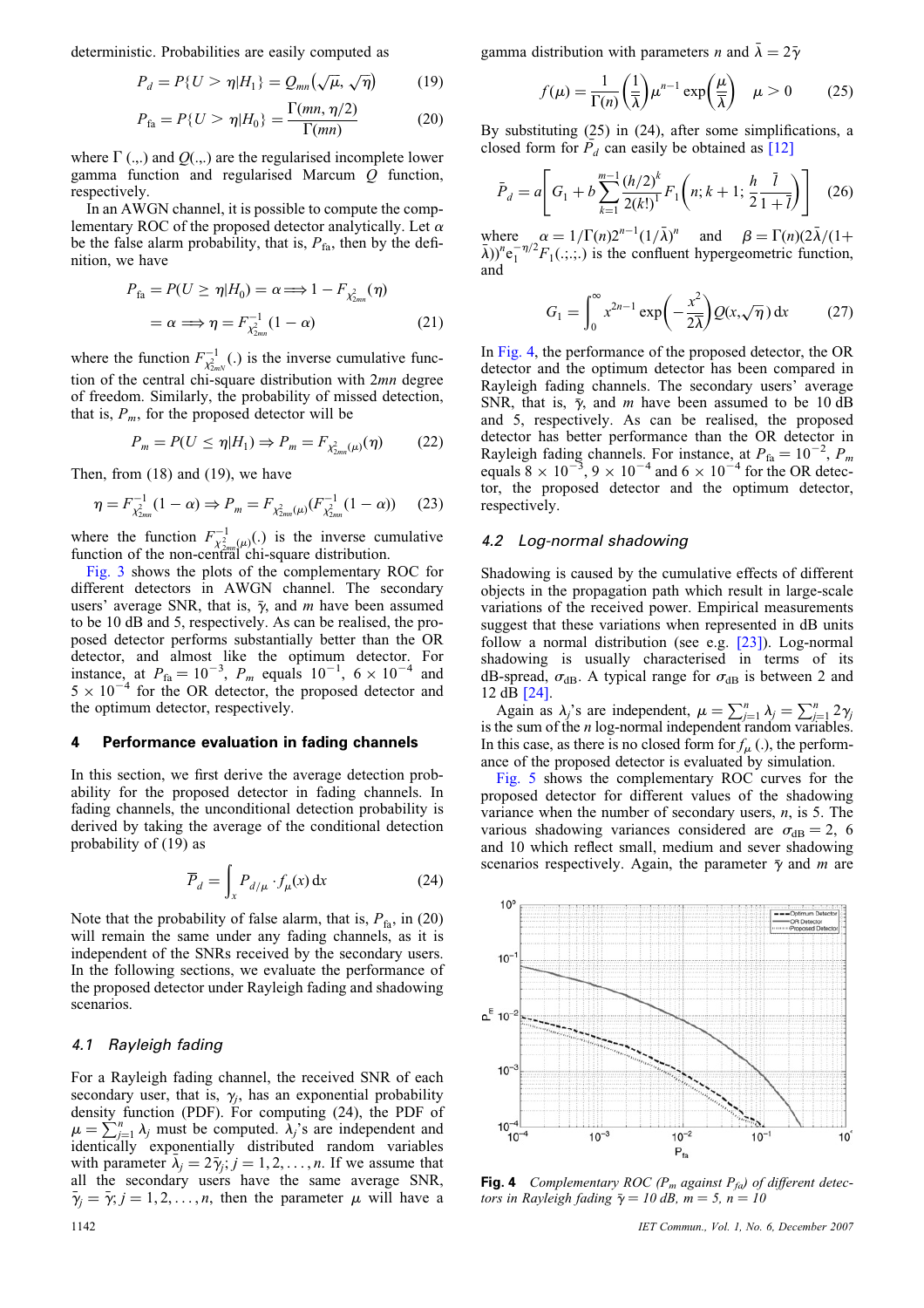deterministic. Probabilities are easily computed as

$$
P_d = P\{U > \eta | H_1\} = Q_{mn} \left(\sqrt{\mu}, \sqrt{\eta}\right) \tag{19}
$$

$$
P_{\text{fa}} = P\{U > \eta | H_0\} = \frac{\Gamma(mn, \eta/2)}{\Gamma(mn)}\tag{20}
$$

where  $\Gamma$  (...) and  $Q$ (...) are the regularised incomplete lower gamma function and regularised Marcum Q function, respectively.

In an AWGN channel, it is possible to compute the complementary ROC of the proposed detector analytically. Let  $\alpha$ be the false alarm probability, that is,  $P_{fa}$ , then by the definition, we have

$$
P_{\text{fa}} = P(U \ge \eta | H_0) = \alpha \Longrightarrow 1 - F_{\chi^2_{2mn}}(\eta)
$$

$$
= \alpha \Longrightarrow \eta = F_{\chi^2_{2mn}}^{-1}(1 - \alpha) \tag{21}
$$

where the function  $F_{\chi^2_{2mN}}^{-1}(.)$  is the inverse cumulative function of the central chi-square distribution with 2mn degree of freedom. Similarly, the probability of missed detection, that is,  $P_m$ , for the proposed detector will be

$$
P_m = P(U \le \eta | H_1) \Rightarrow P_m = F_{\chi^2_{2mn}(\mu)}(\eta) \tag{22}
$$

Then, from (18) and (19), we have

$$
\eta = F_{\chi^2_{2mn}}^{-1}(1-\alpha) \Rightarrow P_m = F_{\chi^2_{2mn}(\mu)}(F_{\chi^2_{2mn}}^{-1}(1-\alpha)) \quad (23)
$$

where the function  $F_{\chi^2_{2mn}(\mu)}^{-1}(.)$  is the inverse cumulative function of the non-central chi-square distribution.

Fig. 3 shows the plots of the complementary ROC for different detectors in AWGN channel. The secondary users' average SNR, that is,  $\bar{\gamma}$ , and m have been assumed to be 10 dB and 5, respectively. As can be realised, the proposed detector performs substantially better than the OR detector, and almost like the optimum detector. For instance, at  $P_{\text{fa}} = 10^{-3}$ ,  $P_m$  equals  $10^{-1}$ ,  $6 \times 10^{-4}$  and  $5 \times 10^{-4}$  for the OR detector, the proposed detector and the optimum detector, respectively.

#### 4 Performance evaluation in fading channels

In this section, we first derive the average detection probability for the proposed detector in fading channels. In fading channels, the unconditional detection probability is derived by taking the average of the conditional detection probability of (19) as

$$
\overline{P}_d = \int_x P_{d/\mu} \cdot f_\mu(x) \, \mathrm{d}x \tag{24}
$$

Note that the probability of false alarm, that is,  $P_{fa}$ , in (20) will remain the same under any fading channels, as it is independent of the SNRs received by the secondary users. In the following sections, we evaluate the performance of the proposed detector under Rayleigh fading and shadowing scenarios.

#### 4.1 Rayleigh fading

For a Rayleigh fading channel, the received SNR of each secondary user, that is,  $\gamma_i$ , has an exponential probability density function (PDF). For computing (24), the PDF of  $\mu = \sum_{j=1}^{n} \lambda_j$  must be computed.  $\lambda_j$ 's are independent and identically exponentially distributed random variables with parameter  $\bar{\lambda}_j = 2\bar{\gamma}_j$ ;  $j = 1, 2, \dots, n$ . If we assume that all the secondary users have the same average SNR,  $\bar{\gamma}_i = \bar{\gamma}_i$ ;  $j = 1, 2, \ldots, n$ , then the parameter  $\mu$  will have a 1142 IET Commun., Vol. 1, No. 6, December 2007

gamma distribution with parameters *n* and  $\bar{\lambda} = 2\bar{\gamma}$ 

$$
f(\mu) = \frac{1}{\Gamma(n)} \left(\frac{1}{\overline{\lambda}}\right) \mu^{n-1} \exp\left(\frac{\mu}{\overline{\lambda}}\right) \quad \mu > 0 \tag{25}
$$

By substituting (25) in (24), after some simplifications, a closed form for  $\overline{P}_d$  can easily be obtained as [12]

$$
\bar{P}_d = a \left[ G_1 + b \sum_{k=1}^{m-1} \frac{(h/2)^k}{2(k!)^1} F_1 \left( n; k+1; \frac{h}{2} \frac{\bar{l}}{1+\bar{l}} \right) \right]
$$
(26)

where  $\alpha = 1/\Gamma(n)2^{n-1}(1/\overline{\lambda})^n$  and  $\beta = \Gamma(n)(2\overline{\lambda}/(1+\overline{\lambda}))^n$  $\bar{\lambda}$ ))<sup>n</sup>e<sub>1</sub><sup>- $\eta$ /2</sup> $F_1$ (.;.;.) is the confluent hypergeometric function, and

$$
G_1 = \int_0^\infty x^{2n-1} \exp\left(-\frac{x^2}{2\overline{\lambda}}\right) Q(x, \sqrt{\eta}) dx \qquad (27)
$$

In Fig. 4, the performance of the proposed detector, the OR detector and the optimum detector has been compared in Rayleigh fading channels. The secondary users' average SNR, that is,  $\bar{\gamma}$ , and m have been assumed to be 10 dB and 5, respectively. As can be realised, the proposed detector has better performance than the OR detector in Rayleigh fading channels. For instance, at  $P_{\text{fa}} = 10^{-2}$ ,  $P_m$ equals  $8 \times 10^{-3}$ ,  $9 \times 10^{-4}$  and  $6 \times 10^{-4}$  for the OR detector, the proposed detector and the optimum detector, respectively.

#### 4.2 Log-normal shadowing

Shadowing is caused by the cumulative effects of different objects in the propagation path which result in large-scale variations of the received power. Empirical measurements suggest that these variations when represented in dB units follow a normal distribution (see e.g. [23]). Log-normal shadowing is usually characterised in terms of its dB-spread,  $\sigma_{dB}$ . A typical range for  $\sigma_{dB}$  is between 2 and 12 dB [24].

Again as  $\lambda_j$ 's are independent,  $\mu = \sum_{j=1}^n \lambda_j = \sum_{j=1}^n 2\gamma_j$ is the sum of the  $n$  log-normal independent random variables. In this case, as there is no closed form for  $f<sub>\mu</sub>$  (.), the performance of the proposed detector is evaluated by simulation.

Fig. 5 shows the complementary ROC curves for the proposed detector for different values of the shadowing variance when the number of secondary users,  $n$ , is 5. The various shadowing variances considered are  $\sigma_{dB} = 2$ , 6 and 10 which reflect small, medium and sever shadowing scenarios respectively. Again, the parameter  $\bar{y}$  and m are



Fig. 4 Complementary ROC ( $P_m$  against  $P_{fa}$ ) of different detectors in Rayleigh fading  $\bar{\gamma} = 10$  dB,  $m = 5$ ,  $n = 10$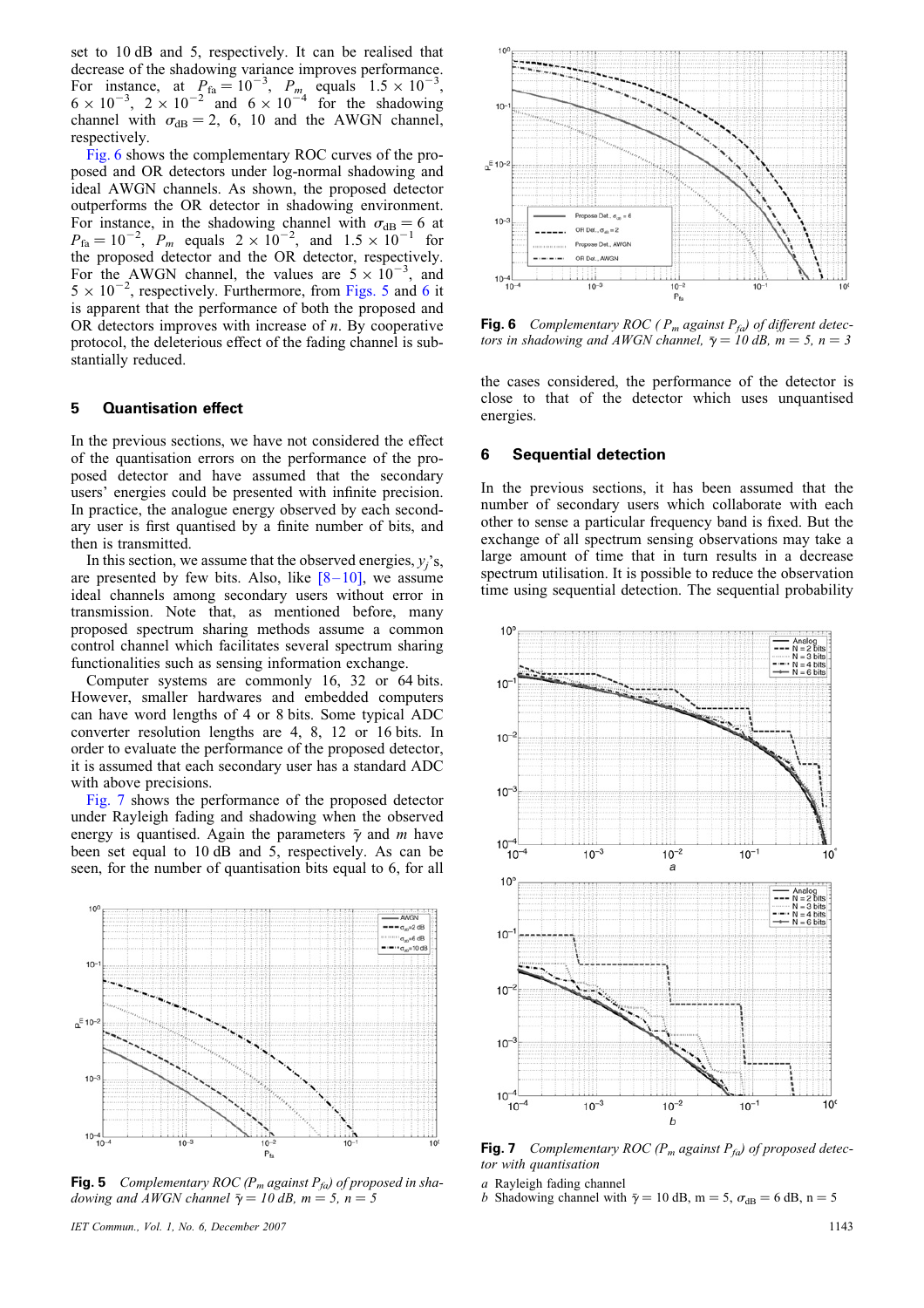set to 10 dB and 5, respectively. It can be realised that decrease of the shadowing variance improves performance. For instance, at  $P_{\text{fa}} = 10^{-3}$ ,  $P_{m}$  equals  $1.5 \times 10^{-3}$ ,  $6 \times 10^{-3}$ ,  $2 \times 10^{-2}$  and  $6 \times 10^{-4}$  for the shadowing channel with  $\sigma_{dB} = 2$ , 6, 10 and the AWGN channel, respectively.

Fig. 6 shows the complementary ROC curves of the proposed and OR detectors under log-normal shadowing and ideal AWGN channels. As shown, the proposed detector outperforms the OR detector in shadowing environment. For instance, in the shadowing channel with  $\sigma_{dB} = 6$  at  $P_{\text{fa}} = 10^{-2}$ ,  $P_m$  equals  $2 \times 10^{-2}$ , and  $1.5 \times 10^{-1}$  for the proposed detector and the OR detector, respectively. For the AWGN channel, the values are  $5 \times 10^{-3}$ , and  $5 \times 10^{-2}$ , respectively. Furthermore, from Figs. 5 and 6 it is apparent that the performance of both the proposed and OR detectors improves with increase of  $n$ . By cooperative protocol, the deleterious effect of the fading channel is substantially reduced.

## 5 Quantisation effect

In the previous sections, we have not considered the effect of the quantisation errors on the performance of the proposed detector and have assumed that the secondary users' energies could be presented with infinite precision. In practice, the analogue energy observed by each secondary user is first quantised by a finite number of bits, and then is transmitted.

In this section, we assume that the observed energies,  $y_i$ 's, are presented by few bits. Also, like  $[8-10]$ , we assume ideal channels among secondary users without error in transmission. Note that, as mentioned before, many proposed spectrum sharing methods assume a common control channel which facilitates several spectrum sharing functionalities such as sensing information exchange.

Computer systems are commonly 16, 32 or 64 bits. However, smaller hardwares and embedded computers can have word lengths of 4 or 8 bits. Some typical ADC converter resolution lengths are 4, 8, 12 or 16 bits. In order to evaluate the performance of the proposed detector, it is assumed that each secondary user has a standard ADC with above precisions.

Fig. 7 shows the performance of the proposed detector under Rayleigh fading and shadowing when the observed energy is quantised. Again the parameters  $\bar{\gamma}$  and m have been set equal to 10 dB and 5, respectively. As can be seen, for the number of quantisation bits equal to 6, for all



**Fig. 5** Complementary ROC ( $P_m$  against  $P_{fa}$ ) of proposed in shadowing and AWGN channel  $\bar{\gamma} = 10$  dB,  $m = 5$ ,  $n = 5$ 

IET Commun., Vol. 1, No. 6, December 2007 1143



**Fig. 6** Complementary ROC ( $P_m$  against  $P_{fa}$ ) of different detectors in shadowing and AWGN channel,  $\bar{\gamma} = 10$  dB,  $m = 5$ ,  $n = 3$ 

the cases considered, the performance of the detector is close to that of the detector which uses unquantised energies.

## 6 Sequential detection

In the previous sections, it has been assumed that the number of secondary users which collaborate with each other to sense a particular frequency band is fixed. But the exchange of all spectrum sensing observations may take a large amount of time that in turn results in a decrease spectrum utilisation. It is possible to reduce the observation time using sequential detection. The sequential probability



**Fig. 7** Complementary ROC ( $P_m$  against  $P_{fa}$ ) of proposed detector with quantisation

a Rayleigh fading channel

b Shadowing channel with  $\bar{y} = 10$  dB, m = 5,  $\sigma_{dB} = 6$  dB, n = 5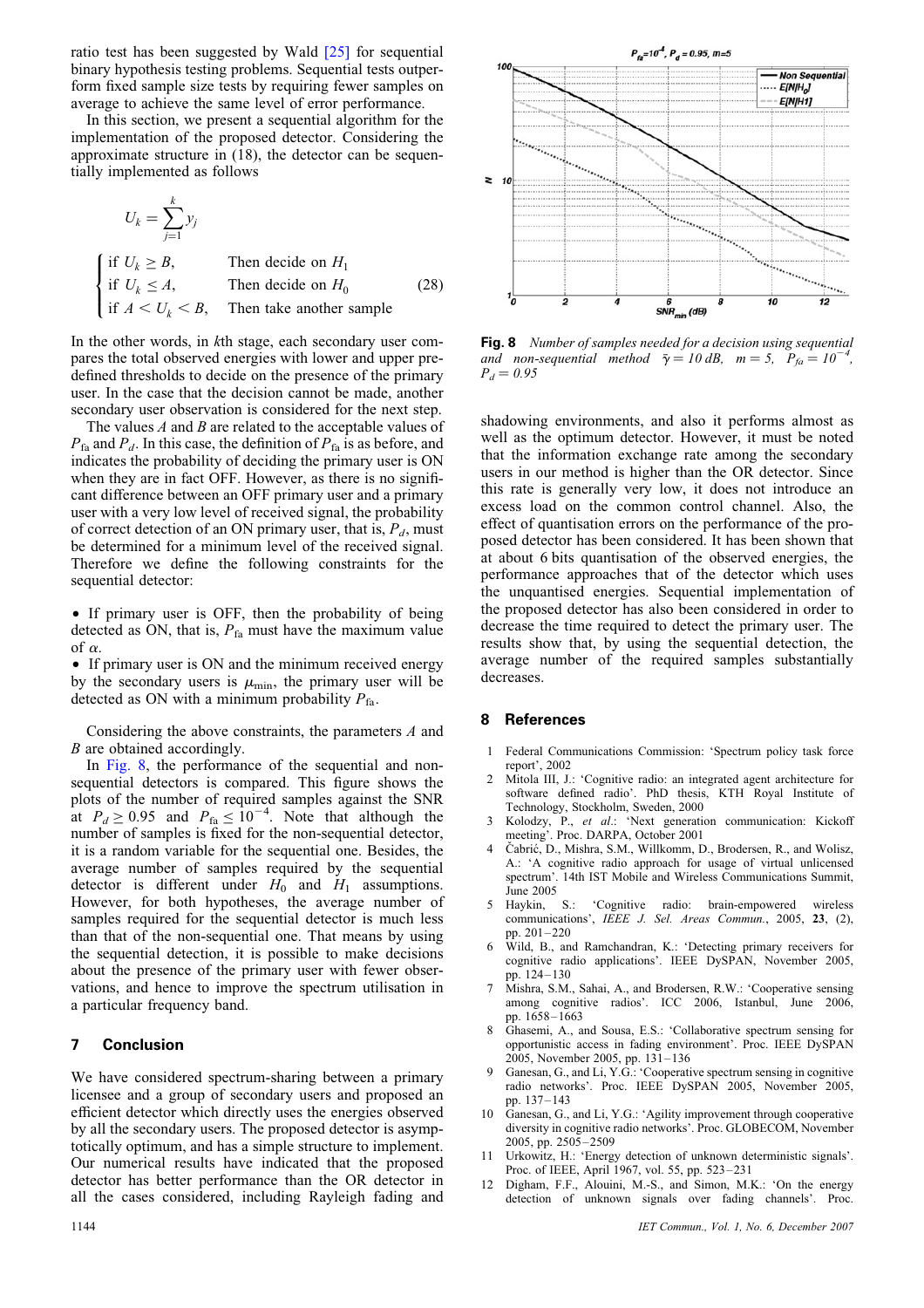ratio test has been suggested by Wald [25] for sequential binary hypothesis testing problems. Sequential tests outperform fixed sample size tests by requiring fewer samples on average to achieve the same level of error performance.

In this section, we present a sequential algorithm for the implementation of the proposed detector. Considering the approximate structure in (18), the detector can be sequentially implemented as follows

$$
U_k = \sum_{j=1}^{k} y_j
$$
  
\n
$$
\begin{cases}\n\text{if } U_k \geq B, \\
\text{if } U_k \leq A, \\
\text{if } A < U_k < B,\n\end{cases}
$$
\nThen decide on  $H_1$  (28)  
\n
$$
\begin{cases}\n\text{if } A < U_k < B, \\
\text{Then take another sample}\n\end{cases}
$$

In the other words, in kth stage, each secondary user compares the total observed energies with lower and upper predefined thresholds to decide on the presence of the primary user. In the case that the decision cannot be made, another secondary user observation is considered for the next step.

The values  $A$  and  $B$  are related to the acceptable values of  $P_{fa}$  and  $P_d$ . In this case, the definition of  $P_{fa}$  is as before, and indicates the probability of deciding the primary user is ON when they are in fact OFF. However, as there is no significant difference between an OFF primary user and a primary user with a very low level of received signal, the probability of correct detection of an ON primary user, that is,  $P_d$ , must be determined for a minimum level of the received signal. Therefore we define the following constraints for the sequential detector:

• If primary user is OFF, then the probability of being detected as ON, that is,  $P_{fa}$  must have the maximum value of  $\alpha$ .

• If primary user is ON and the minimum received energy by the secondary users is  $\mu_{\min}$ , the primary user will be detected as ON with a minimum probability  $P_{fa}$ .

Considering the above constraints, the parameters A and B are obtained accordingly.

In Fig. 8, the performance of the sequential and nonsequential detectors is compared. This figure shows the plots of the number of required samples against the SNR at  $P_d \ge 0.95$  and  $P_{fa} \le 10^{-4}$ . Note that although the number of samples is fixed for the non-sequential detector, it is a random variable for the sequential one. Besides, the average number of samples required by the sequential detector is different under  $H_0$  and  $H_1$  assumptions. However, for both hypotheses, the average number of samples required for the sequential detector is much less than that of the non-sequential one. That means by using the sequential detection, it is possible to make decisions about the presence of the primary user with fewer observations, and hence to improve the spectrum utilisation in a particular frequency band.

## 7 Conclusion

We have considered spectrum-sharing between a primary licensee and a group of secondary users and proposed an efficient detector which directly uses the energies observed by all the secondary users. The proposed detector is asymptotically optimum, and has a simple structure to implement. Our numerical results have indicated that the proposed detector has better performance than the OR detector in all the cases considered, including Rayleigh fading and



Fig. 8 Number of samples needed for a decision using sequential and non-sequential method  $\bar{\gamma} = 10$  dB,  $m = 5$ ,  $P_{fa} = 10^{-4}$ ,  $P_d = 0.95$ 

shadowing environments, and also it performs almost as well as the optimum detector. However, it must be noted that the information exchange rate among the secondary users in our method is higher than the OR detector. Since this rate is generally very low, it does not introduce an excess load on the common control channel. Also, the effect of quantisation errors on the performance of the proposed detector has been considered. It has been shown that at about 6 bits quantisation of the observed energies, the performance approaches that of the detector which uses the unquantised energies. Sequential implementation of the proposed detector has also been considered in order to decrease the time required to detect the primary user. The results show that, by using the sequential detection, the average number of the required samples substantially decreases.

## 8 References

- 1 Federal Communications Commission: 'Spectrum policy task force report', 2002
- 2 Mitola III, J.: 'Cognitive radio: an integrated agent architecture for software defined radio'. PhD thesis, KTH Royal Institute of Technology, Stockholm, Sweden, 2000
- 3 Kolodzy, P., et al.: 'Next generation communication: Kickoff meeting'. Proc. DARPA, October 2001
- Čabrić, D., Mishra, S.M., Willkomm, D., Brodersen, R., and Wolisz, A.: 'A cognitive radio approach for usage of virtual unlicensed spectrum'. 14th IST Mobile and Wireless Communications Summit, June 2005
- 5 Haykin, S.: 'Cognitive radio: brain-empowered wireless communications', IEEE J. Sel. Areas Commun., 2005, 23, (2), pp. 201–220
- Wild, B., and Ramchandran, K.: 'Detecting primary receivers for cognitive radio applications'. IEEE DySPAN, November 2005, pp. 124–130
- 7 Mishra, S.M., Sahai, A., and Brodersen, R.W.: 'Cooperative sensing among cognitive radios'. ICC 2006, Istanbul, June 2006, pp. 1658–1663
- 8 Ghasemi, A., and Sousa, E.S.: 'Collaborative spectrum sensing for opportunistic access in fading environment'. Proc. IEEE DySPAN 2005, November 2005, pp. 131–136
- Ganesan, G., and Li, Y.G.: 'Cooperative spectrum sensing in cognitive radio networks'. Proc. IEEE DySPAN 2005, November 2005, pp. 137–143
- 10 Ganesan, G., and Li, Y.G.: 'Agility improvement through cooperative diversity in cognitive radio networks'. Proc. GLOBECOM, November 2005, pp. 2505– 2509
- 11 Urkowitz, H.: 'Energy detection of unknown deterministic signals'. Proc. of IEEE, April 1967, vol. 55, pp. 523–231
- 12 Digham, F.F., Alouini, M.-S., and Simon, M.K.: 'On the energy detection of unknown signals over fading channels'. Proc.